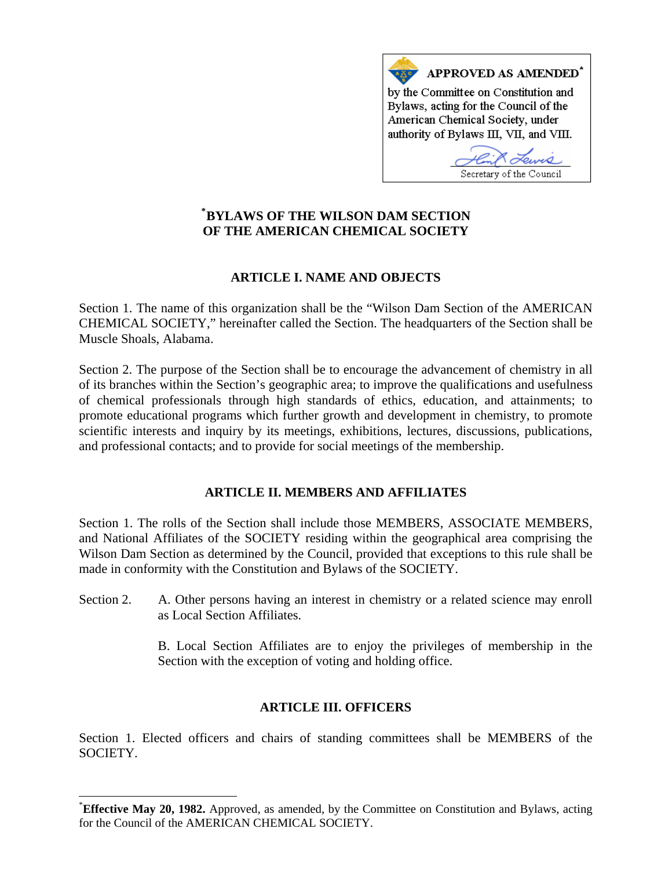

# **[\\*](#page-0-0) BYLAWS OF THE WILSON DAM SECTION OF THE AMERICAN CHEMICAL SOCIETY**

# **ARTICLE I. NAME AND OBJECTS**

Section 1. The name of this organization shall be the "Wilson Dam Section of the AMERICAN CHEMICAL SOCIETY," hereinafter called the Section. The headquarters of the Section shall be Muscle Shoals, Alabama.

Section 2. The purpose of the Section shall be to encourage the advancement of chemistry in all of its branches within the Section's geographic area; to improve the qualifications and usefulness of chemical professionals through high standards of ethics, education, and attainments; to promote educational programs which further growth and development in chemistry, to promote scientific interests and inquiry by its meetings, exhibitions, lectures, discussions, publications, and professional contacts; and to provide for social meetings of the membership.

# **ARTICLE II. MEMBERS AND AFFILIATES**

Section 1. The rolls of the Section shall include those MEMBERS, ASSOCIATE MEMBERS, and National Affiliates of the SOCIETY residing within the geographical area comprising the Wilson Dam Section as determined by the Council, provided that exceptions to this rule shall be made in conformity with the Constitution and Bylaws of the SOCIETY.

Section 2. A. Other persons having an interest in chemistry or a related science may enroll as Local Section Affiliates.

> B. Local Section Affiliates are to enjoy the privileges of membership in the Section with the exception of voting and holding office.

# **ARTICLE III. OFFICERS**

Section 1. Elected officers and chairs of standing committees shall be MEMBERS of the SOCIETY.

 $\overline{\phantom{a}}$ 

<span id="page-0-0"></span><sup>\*</sup> **Effective May 20, 1982.** Approved, as amended, by the Committee on Constitution and Bylaws, acting for the Council of the AMERICAN CHEMICAL SOCIETY.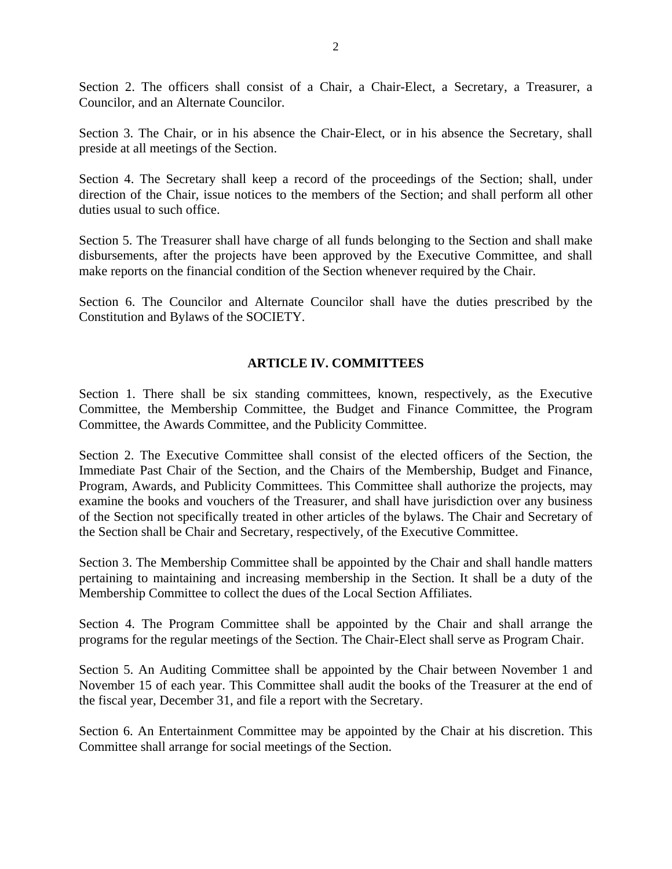Section 2. The officers shall consist of a Chair, a Chair-Elect, a Secretary, a Treasurer, a Councilor, and an Alternate Councilor.

Section 3. The Chair, or in his absence the Chair-Elect, or in his absence the Secretary, shall preside at all meetings of the Section.

Section 4. The Secretary shall keep a record of the proceedings of the Section; shall, under direction of the Chair, issue notices to the members of the Section; and shall perform all other duties usual to such office.

Section 5. The Treasurer shall have charge of all funds belonging to the Section and shall make disbursements, after the projects have been approved by the Executive Committee, and shall make reports on the financial condition of the Section whenever required by the Chair.

Section 6. The Councilor and Alternate Councilor shall have the duties prescribed by the Constitution and Bylaws of the SOCIETY.

## **ARTICLE IV. COMMITTEES**

Section 1. There shall be six standing committees, known, respectively, as the Executive Committee, the Membership Committee, the Budget and Finance Committee, the Program Committee, the Awards Committee, and the Publicity Committee.

Section 2. The Executive Committee shall consist of the elected officers of the Section, the Immediate Past Chair of the Section, and the Chairs of the Membership, Budget and Finance, Program, Awards, and Publicity Committees. This Committee shall authorize the projects, may examine the books and vouchers of the Treasurer, and shall have jurisdiction over any business of the Section not specifically treated in other articles of the bylaws. The Chair and Secretary of the Section shall be Chair and Secretary, respectively, of the Executive Committee.

Section 3. The Membership Committee shall be appointed by the Chair and shall handle matters pertaining to maintaining and increasing membership in the Section. It shall be a duty of the Membership Committee to collect the dues of the Local Section Affiliates.

Section 4. The Program Committee shall be appointed by the Chair and shall arrange the programs for the regular meetings of the Section. The Chair-Elect shall serve as Program Chair.

Section 5. An Auditing Committee shall be appointed by the Chair between November 1 and November 15 of each year. This Committee shall audit the books of the Treasurer at the end of the fiscal year, December 31, and file a report with the Secretary.

Section 6. An Entertainment Committee may be appointed by the Chair at his discretion. This Committee shall arrange for social meetings of the Section.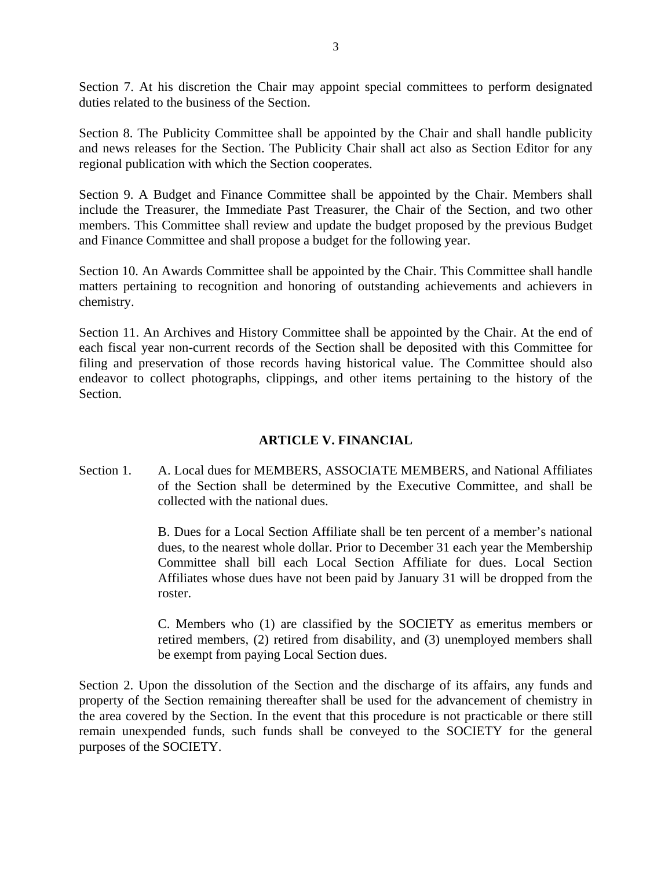Section 7. At his discretion the Chair may appoint special committees to perform designated duties related to the business of the Section.

Section 8. The Publicity Committee shall be appointed by the Chair and shall handle publicity and news releases for the Section. The Publicity Chair shall act also as Section Editor for any regional publication with which the Section cooperates.

Section 9. A Budget and Finance Committee shall be appointed by the Chair. Members shall include the Treasurer, the Immediate Past Treasurer, the Chair of the Section, and two other members. This Committee shall review and update the budget proposed by the previous Budget and Finance Committee and shall propose a budget for the following year.

Section 10. An Awards Committee shall be appointed by the Chair. This Committee shall handle matters pertaining to recognition and honoring of outstanding achievements and achievers in chemistry.

Section 11. An Archives and History Committee shall be appointed by the Chair. At the end of each fiscal year non-current records of the Section shall be deposited with this Committee for filing and preservation of those records having historical value. The Committee should also endeavor to collect photographs, clippings, and other items pertaining to the history of the Section.

# **ARTICLE V. FINANCIAL**

Section 1. A. Local dues for MEMBERS, ASSOCIATE MEMBERS, and National Affiliates of the Section shall be determined by the Executive Committee, and shall be collected with the national dues.

> B. Dues for a Local Section Affiliate shall be ten percent of a member's national dues, to the nearest whole dollar. Prior to December 31 each year the Membership Committee shall bill each Local Section Affiliate for dues. Local Section Affiliates whose dues have not been paid by January 31 will be dropped from the roster.

> C. Members who (1) are classified by the SOCIETY as emeritus members or retired members, (2) retired from disability, and (3) unemployed members shall be exempt from paying Local Section dues.

Section 2. Upon the dissolution of the Section and the discharge of its affairs, any funds and property of the Section remaining thereafter shall be used for the advancement of chemistry in the area covered by the Section. In the event that this procedure is not practicable or there still remain unexpended funds, such funds shall be conveyed to the SOCIETY for the general purposes of the SOCIETY.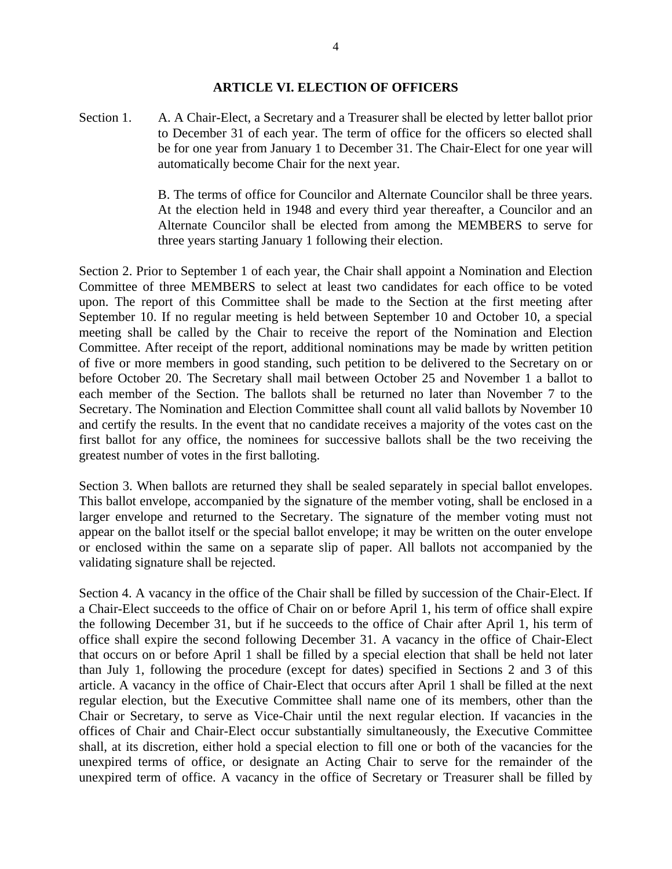#### **ARTICLE VI. ELECTION OF OFFICERS**

Section 1. A. A Chair-Elect, a Secretary and a Treasurer shall be elected by letter ballot prior to December 31 of each year. The term of office for the officers so elected shall be for one year from January 1 to December 31. The Chair-Elect for one year will automatically become Chair for the next year.

> B. The terms of office for Councilor and Alternate Councilor shall be three years. At the election held in 1948 and every third year thereafter, a Councilor and an Alternate Councilor shall be elected from among the MEMBERS to serve for three years starting January 1 following their election.

Section 2. Prior to September 1 of each year, the Chair shall appoint a Nomination and Election Committee of three MEMBERS to select at least two candidates for each office to be voted upon. The report of this Committee shall be made to the Section at the first meeting after September 10. If no regular meeting is held between September 10 and October 10, a special meeting shall be called by the Chair to receive the report of the Nomination and Election Committee. After receipt of the report, additional nominations may be made by written petition of five or more members in good standing, such petition to be delivered to the Secretary on or before October 20. The Secretary shall mail between October 25 and November 1 a ballot to each member of the Section. The ballots shall be returned no later than November 7 to the Secretary. The Nomination and Election Committee shall count all valid ballots by November 10 and certify the results. In the event that no candidate receives a majority of the votes cast on the first ballot for any office, the nominees for successive ballots shall be the two receiving the greatest number of votes in the first balloting.

Section 3. When ballots are returned they shall be sealed separately in special ballot envelopes. This ballot envelope, accompanied by the signature of the member voting, shall be enclosed in a larger envelope and returned to the Secretary. The signature of the member voting must not appear on the ballot itself or the special ballot envelope; it may be written on the outer envelope or enclosed within the same on a separate slip of paper. All ballots not accompanied by the validating signature shall be rejected.

Section 4. A vacancy in the office of the Chair shall be filled by succession of the Chair-Elect. If a Chair-Elect succeeds to the office of Chair on or before April 1, his term of office shall expire the following December 31, but if he succeeds to the office of Chair after April 1, his term of office shall expire the second following December 31. A vacancy in the office of Chair-Elect that occurs on or before April 1 shall be filled by a special election that shall be held not later than July 1, following the procedure (except for dates) specified in Sections 2 and 3 of this article. A vacancy in the office of Chair-Elect that occurs after April 1 shall be filled at the next regular election, but the Executive Committee shall name one of its members, other than the Chair or Secretary, to serve as Vice-Chair until the next regular election. If vacancies in the offices of Chair and Chair-Elect occur substantially simultaneously, the Executive Committee shall, at its discretion, either hold a special election to fill one or both of the vacancies for the unexpired terms of office, or designate an Acting Chair to serve for the remainder of the unexpired term of office. A vacancy in the office of Secretary or Treasurer shall be filled by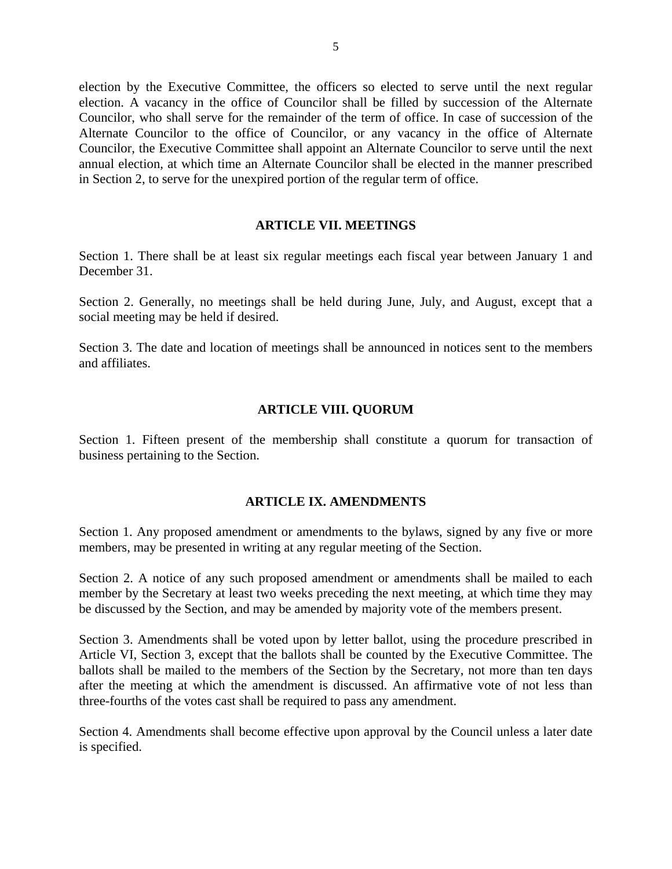election by the Executive Committee, the officers so elected to serve until the next regular election. A vacancy in the office of Councilor shall be filled by succession of the Alternate Councilor, who shall serve for the remainder of the term of office. In case of succession of the Alternate Councilor to the office of Councilor, or any vacancy in the office of Alternate Councilor, the Executive Committee shall appoint an Alternate Councilor to serve until the next annual election, at which time an Alternate Councilor shall be elected in the manner prescribed in Section 2, to serve for the unexpired portion of the regular term of office.

### **ARTICLE VII. MEETINGS**

Section 1. There shall be at least six regular meetings each fiscal year between January 1 and December 31.

Section 2. Generally, no meetings shall be held during June, July, and August, except that a social meeting may be held if desired.

Section 3. The date and location of meetings shall be announced in notices sent to the members and affiliates.

## **ARTICLE VIII. QUORUM**

Section 1. Fifteen present of the membership shall constitute a quorum for transaction of business pertaining to the Section.

## **ARTICLE IX. AMENDMENTS**

Section 1. Any proposed amendment or amendments to the bylaws, signed by any five or more members, may be presented in writing at any regular meeting of the Section.

Section 2. A notice of any such proposed amendment or amendments shall be mailed to each member by the Secretary at least two weeks preceding the next meeting, at which time they may be discussed by the Section, and may be amended by majority vote of the members present.

Section 3. Amendments shall be voted upon by letter ballot, using the procedure prescribed in Article VI, Section 3, except that the ballots shall be counted by the Executive Committee. The ballots shall be mailed to the members of the Section by the Secretary, not more than ten days after the meeting at which the amendment is discussed. An affirmative vote of not less than three-fourths of the votes cast shall be required to pass any amendment.

Section 4. Amendments shall become effective upon approval by the Council unless a later date is specified.